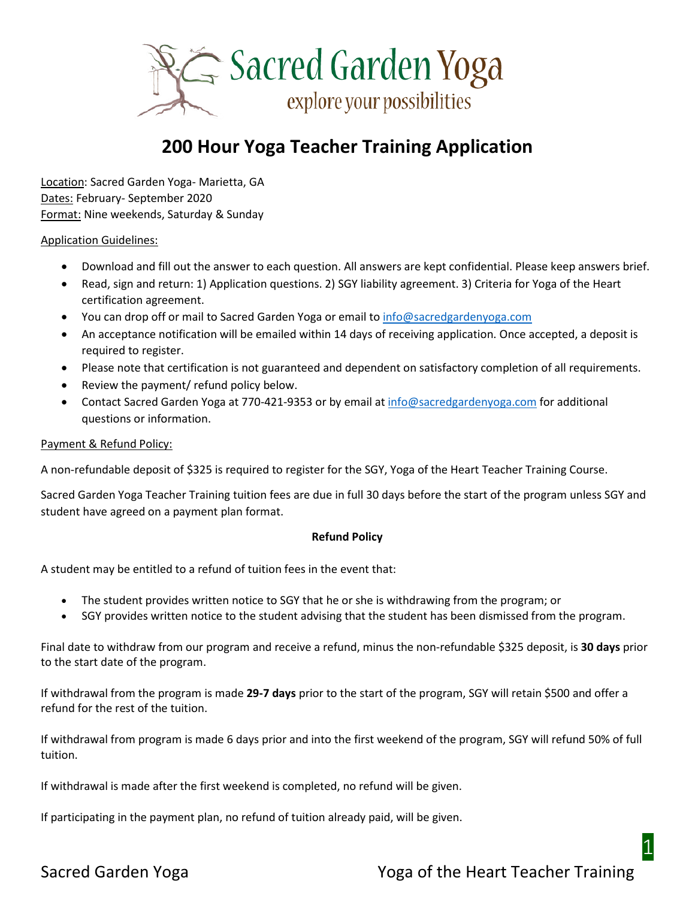

# **200 Hour Yoga Teacher Training Application**

Location: Sacred Garden Yoga- Marietta, GA Dates: February- September 2020 Format: Nine weekends, Saturday & Sunday

### Application Guidelines:

- Download and fill out the answer to each question. All answers are kept confidential. Please keep answers brief.
- Read, sign and return: 1) Application questions. 2) SGY liability agreement. 3) Criteria for Yoga of the Heart certification agreement.
- You can drop off or mail to Sacred Garden Yoga or email to [info@sacredgardenyoga.com](mailto:info@sacredgardenyoga.com)
- An acceptance notification will be emailed within 14 days of receiving application. Once accepted, a deposit is required to register.
- Please note that certification is not guaranteed and dependent on satisfactory completion of all requirements.
- Review the payment/ refund policy below.
- Contact Sacred Garden Yoga at 770-421-9353 or by email a[t info@sacredgardenyoga.com](mailto:info@sacredgardenyoga.com) for additional questions or information.

#### Payment & Refund Policy:

A non-refundable deposit of \$325 is required to register for the SGY, Yoga of the Heart Teacher Training Course.

Sacred Garden Yoga Teacher Training tuition fees are due in full 30 days before the start of the program unless SGY and student have agreed on a payment plan format.

#### **Refund Policy**

A student may be entitled to a refund of tuition fees in the event that:

- The student provides written notice to SGY that he or she is withdrawing from the program; or
- SGY provides written notice to the student advising that the student has been dismissed from the program.

Final date to withdraw from our program and receive a refund, minus the non-refundable \$325 deposit, is **30 days** prior to the start date of the program.

If withdrawal from the program is made **29-7 days** prior to the start of the program, SGY will retain \$500 and offer a refund for the rest of the tuition.

If withdrawal from program is made 6 days prior and into the first weekend of the program, SGY will refund 50% of full tuition.

If withdrawal is made after the first weekend is completed, no refund will be given.

If participating in the payment plan, no refund of tuition already paid, will be given.

# Sacred Garden Yoga Noga Noga of the Heart Teacher Training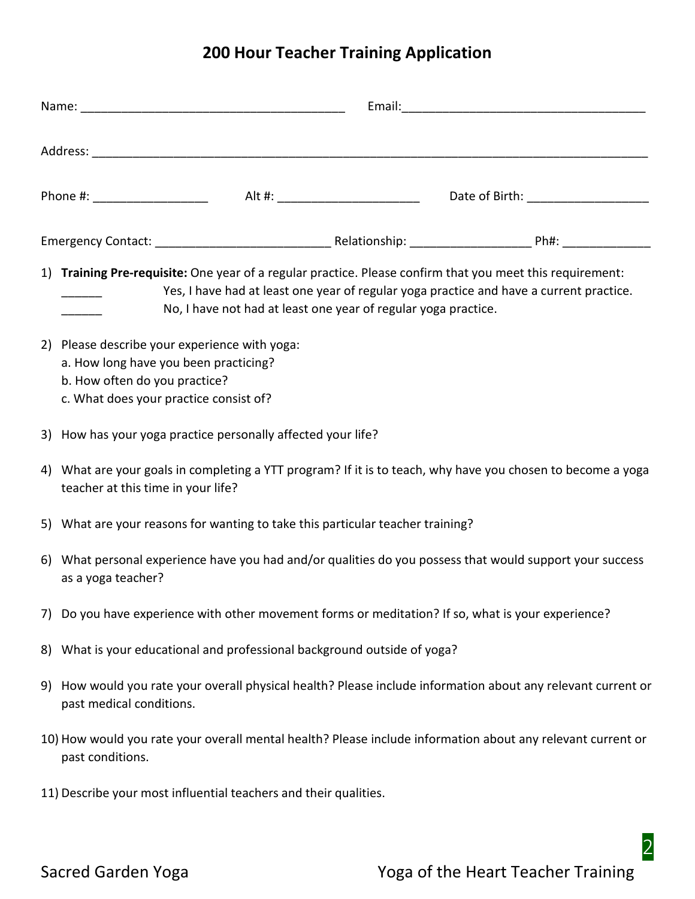# **200 Hour Teacher Training Application**

| Phone #: _______________________  Alt #: _________________________  Date of Birth: _______________________                                                                                                                                                             |  |
|------------------------------------------------------------------------------------------------------------------------------------------------------------------------------------------------------------------------------------------------------------------------|--|
|                                                                                                                                                                                                                                                                        |  |
| 1) Training Pre-requisite: One year of a regular practice. Please confirm that you meet this requirement:<br>Yes, I have had at least one year of regular yoga practice and have a current practice.<br>No, I have not had at least one year of regular yoga practice. |  |
| 2) Please describe your experience with yoga:<br>a. How long have you been practicing?<br>b. How often do you practice?<br>c. What does your practice consist of?                                                                                                      |  |
| 3) How has your yoga practice personally affected your life?                                                                                                                                                                                                           |  |
| 4) What are your goals in completing a YTT program? If it is to teach, why have you chosen to become a yoga<br>teacher at this time in your life?                                                                                                                      |  |
| 5) What are your reasons for wanting to take this particular teacher training?                                                                                                                                                                                         |  |
| 6) What personal experience have you had and/or qualities do you possess that would support your success<br>as a yoga teacher?                                                                                                                                         |  |
| 7) Do you have experience with other movement forms or meditation? If so, what is your experience?                                                                                                                                                                     |  |
| 8) What is your educational and professional background outside of yoga?                                                                                                                                                                                               |  |
| 9) How would you rate your overall physical health? Please include information about any relevant current or<br>past medical conditions.                                                                                                                               |  |
| 10) How would you rate your overall mental health? Please include information about any relevant current or<br>past conditions.                                                                                                                                        |  |
| 11) Describe your most influential teachers and their qualities.                                                                                                                                                                                                       |  |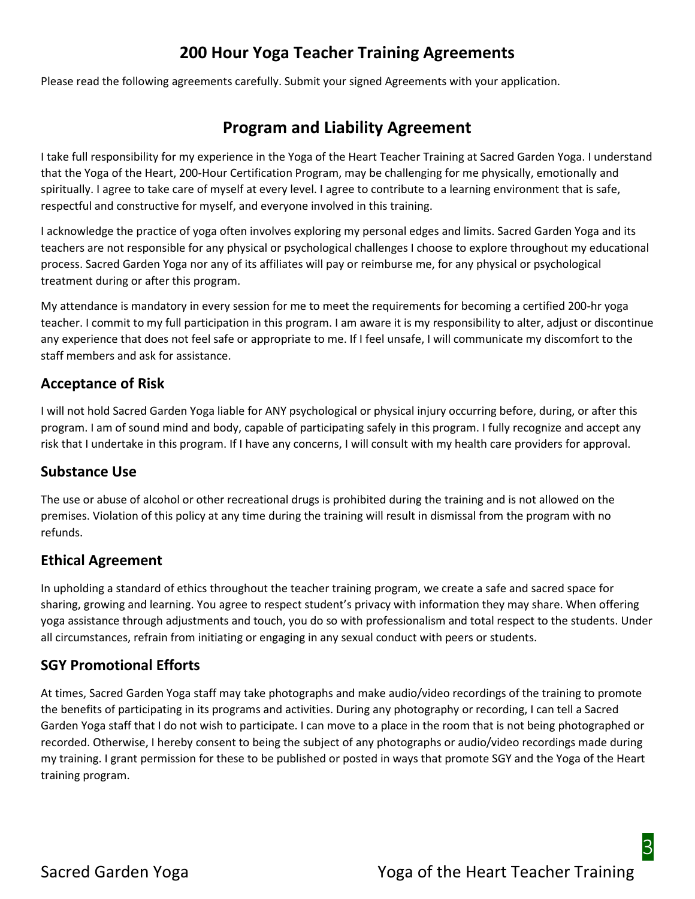# **200 Hour Yoga Teacher Training Agreements**

Please read the following agreements carefully. Submit your signed Agreements with your application.

# **Program and Liability Agreement**

I take full responsibility for my experience in the Yoga of the Heart Teacher Training at Sacred Garden Yoga. I understand that the Yoga of the Heart, 200-Hour Certification Program, may be challenging for me physically, emotionally and spiritually. I agree to take care of myself at every level. I agree to contribute to a learning environment that is safe, respectful and constructive for myself, and everyone involved in this training.

I acknowledge the practice of yoga often involves exploring my personal edges and limits. Sacred Garden Yoga and its teachers are not responsible for any physical or psychological challenges I choose to explore throughout my educational process. Sacred Garden Yoga nor any of its affiliates will pay or reimburse me, for any physical or psychological treatment during or after this program.

My attendance is mandatory in every session for me to meet the requirements for becoming a certified 200-hr yoga teacher. I commit to my full participation in this program. I am aware it is my responsibility to alter, adjust or discontinue any experience that does not feel safe or appropriate to me. If I feel unsafe, I will communicate my discomfort to the staff members and ask for assistance.

# **Acceptance of Risk**

I will not hold Sacred Garden Yoga liable for ANY psychological or physical injury occurring before, during, or after this program. I am of sound mind and body, capable of participating safely in this program. I fully recognize and accept any risk that I undertake in this program. If I have any concerns, I will consult with my health care providers for approval.

# **Substance Use**

The use or abuse of alcohol or other recreational drugs is prohibited during the training and is not allowed on the premises. Violation of this policy at any time during the training will result in dismissal from the program with no refunds.

# **Ethical Agreement**

In upholding a standard of ethics throughout the teacher training program, we create a safe and sacred space for sharing, growing and learning. You agree to respect student's privacy with information they may share. When offering yoga assistance through adjustments and touch, you do so with professionalism and total respect to the students. Under all circumstances, refrain from initiating or engaging in any sexual conduct with peers or students.

# **SGY Promotional Efforts**

At times, Sacred Garden Yoga staff may take photographs and make audio/video recordings of the training to promote the benefits of participating in its programs and activities. During any photography or recording, I can tell a Sacred Garden Yoga staff that I do not wish to participate. I can move to a place in the room that is not being photographed or recorded. Otherwise, I hereby consent to being the subject of any photographs or audio/video recordings made during my training. I grant permission for these to be published or posted in ways that promote SGY and the Yoga of the Heart training program.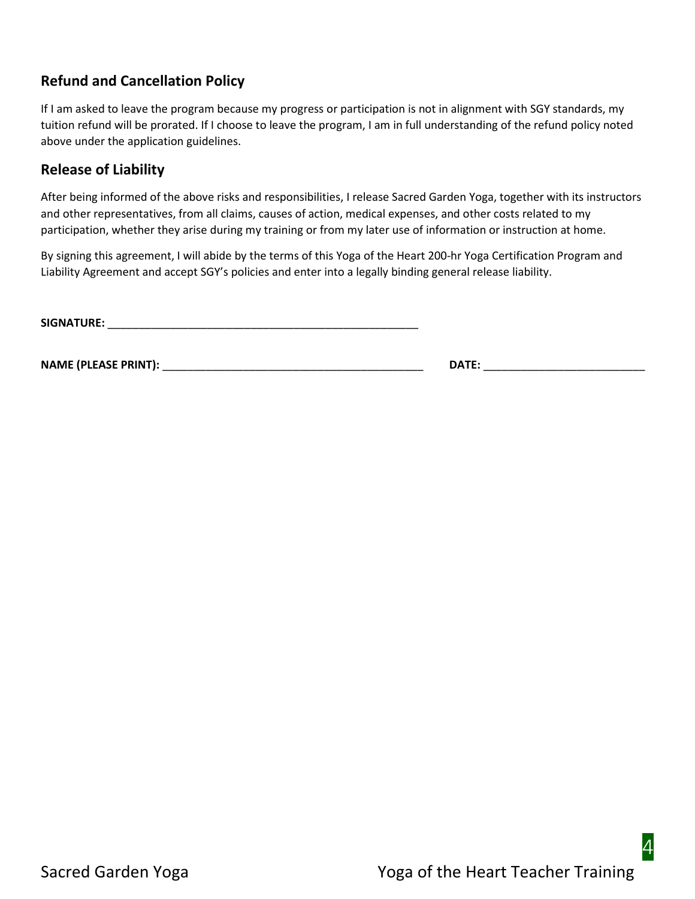# **Refund and Cancellation Policy**

If I am asked to leave the program because my progress or participation is not in alignment with SGY standards, my tuition refund will be prorated. If I choose to leave the program, I am in full understanding of the refund policy noted above under the application guidelines.

### **Release of Liability**

After being informed of the above risks and responsibilities, I release Sacred Garden Yoga, together with its instructors and other representatives, from all claims, causes of action, medical expenses, and other costs related to my participation, whether they arise during my training or from my later use of information or instruction at home.

By signing this agreement, I will abide by the terms of this Yoga of the Heart 200-hr Yoga Certification Program and Liability Agreement and accept SGY's policies and enter into a legally binding general release liability.

**SIGNATURE:** \_\_\_\_\_\_\_\_\_\_\_\_\_\_\_\_\_\_\_\_\_\_\_\_\_\_\_\_\_\_\_\_\_\_\_\_\_\_\_\_\_\_\_\_\_\_\_\_\_\_

**NAME (PLEASE PRINT):** \_\_\_\_\_\_\_\_\_\_\_\_\_\_\_\_\_\_\_\_\_\_\_\_\_\_\_\_\_\_\_\_\_\_\_\_\_\_\_\_\_\_ **DATE:** \_\_\_\_\_\_\_\_\_\_\_\_\_\_\_\_\_\_\_\_\_\_\_\_\_\_